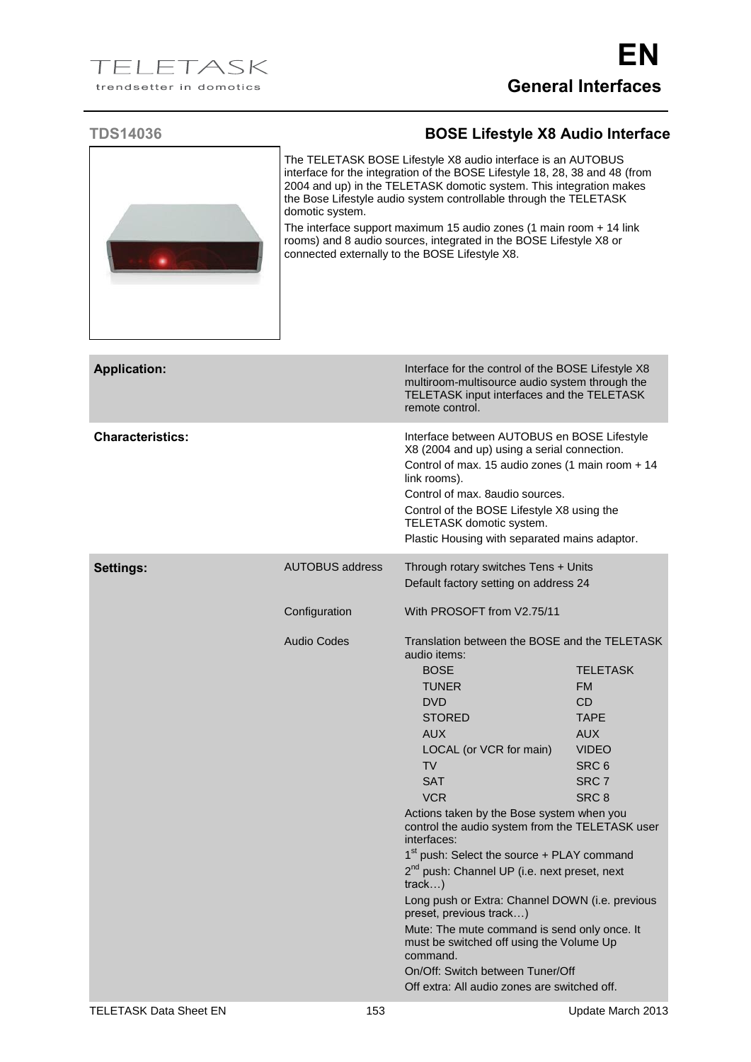## **TDS14036 BOSE Lifestyle X8 Audio Interface**



The TELETASK BOSE Lifestyle X8 audio interface is an AUTOBUS interface for the integration of the BOSE Lifestyle 18, 28, 38 and 48 (from 2004 and up) in the TELETASK domotic system. This integration makes the Bose Lifestyle audio system controllable through the TELETASK domotic system.

The interface support maximum 15 audio zones (1 main room + 14 link rooms) and 8 audio sources, integrated in the BOSE Lifestyle X8 or connected externally to the BOSE Lifestyle X8.

| <b>Application:</b>     |                        | Interface for the control of the BOSE Lifestyle X8<br>multiroom-multisource audio system through the<br>TELETASK input interfaces and the TELETASK<br>remote control.                                                                                                                                                                                                                                                                                                                                                                                                                                                                                                                  |                                                                                                                                         |
|-------------------------|------------------------|----------------------------------------------------------------------------------------------------------------------------------------------------------------------------------------------------------------------------------------------------------------------------------------------------------------------------------------------------------------------------------------------------------------------------------------------------------------------------------------------------------------------------------------------------------------------------------------------------------------------------------------------------------------------------------------|-----------------------------------------------------------------------------------------------------------------------------------------|
| <b>Characteristics:</b> |                        | Interface between AUTOBUS en BOSE Lifestyle<br>X8 (2004 and up) using a serial connection.<br>Control of max. 15 audio zones (1 main room + 14<br>link rooms).<br>Control of max. 8 audio sources.<br>Control of the BOSE Lifestyle X8 using the<br>TELETASK domotic system.<br>Plastic Housing with separated mains adaptor.                                                                                                                                                                                                                                                                                                                                                          |                                                                                                                                         |
| <b>Settings:</b>        | <b>AUTOBUS address</b> | Through rotary switches Tens + Units<br>Default factory setting on address 24                                                                                                                                                                                                                                                                                                                                                                                                                                                                                                                                                                                                          |                                                                                                                                         |
|                         | Configuration          | With PROSOFT from V2.75/11                                                                                                                                                                                                                                                                                                                                                                                                                                                                                                                                                                                                                                                             |                                                                                                                                         |
|                         | <b>Audio Codes</b>     | Translation between the BOSE and the TELETASK<br>audio items:<br><b>BOSE</b><br><b>TUNER</b><br><b>DVD</b><br><b>STORED</b><br><b>AUX</b><br>LOCAL (or VCR for main)<br><b>TV</b><br><b>SAT</b><br><b>VCR</b><br>Actions taken by the Bose system when you<br>control the audio system from the TELETASK user<br>interfaces:<br>1 <sup>st</sup> push: Select the source + PLAY command<br>2 <sup>nd</sup> push: Channel UP (i.e. next preset, next<br>track)<br>Long push or Extra: Channel DOWN (i.e. previous<br>preset, previous track)<br>Mute: The mute command is send only once. It<br>must be switched off using the Volume Up<br>command.<br>On/Off: Switch between Tuner/Off | <b>TELETASK</b><br><b>FM</b><br><b>CD</b><br><b>TAPE</b><br><b>AUX</b><br><b>VIDEO</b><br>SRC <sub>6</sub><br>SRC <sub>7</sub><br>SRC 8 |
|                         |                        | Off extra: All audio zones are switched off.                                                                                                                                                                                                                                                                                                                                                                                                                                                                                                                                                                                                                                           |                                                                                                                                         |